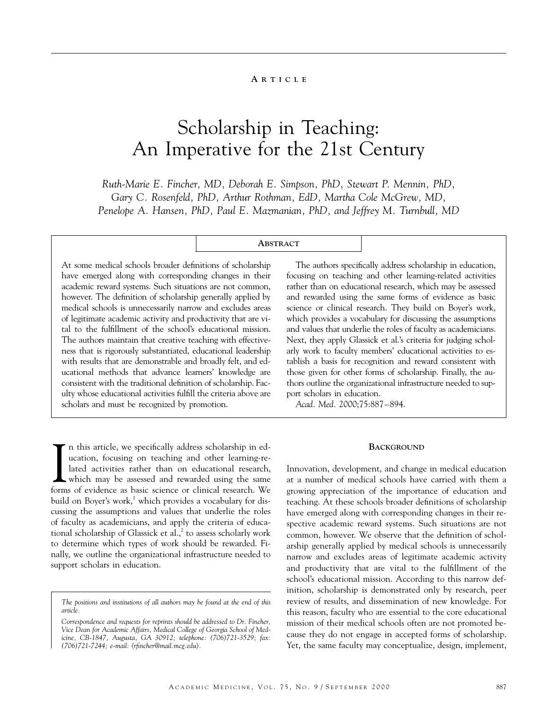# **A RTICLE**

# Scholarship in Teaching: An Imperative for the 21st Century

*Ruth-Marie E. Fincher, MD, Deborah E. Simpson, PhD, Stewart P. Mennin, PhD, Gary C. Rosenfeld, PhD, Arthur Rothman, EdD, Martha Cole McGrew, MD, Penelope A. Hansen, PhD, Paul E. Mazmanian, PhD, and Jeffrey M. Turnbull, MD*

#### **ABSTRACT**

At some medical schools broader definitions of scholarship have emerged along with corresponding changes in their academic reward systems. Such situations are not common, however. The definition of scholarship generally applied by medical schools is unnecessarily narrow and excludes areas of legitimate academic activity and productivity that are vital to the fulfillment of the school's educational mission. The authors maintain that creative teaching with effectiveness that is rigorously substantiated, educational leadership with results that are demonstrable and broadly felt, and educational methods that advance learners' knowledge are consistent with the traditional definition of scholarship. Faculty whose educational activities fulfill the criteria above are scholars and must be recognized by promotion.

In this article, we specifically address scholarship in education, focusing on teaching and other learning-related activities rather than on educational research, which may be assessed and rewarded using the same forms of n this article, we specifically address scholarship in education, focusing on teaching and other learning-related activities rather than on educational research, which may be assessed and rewarded using the same build on Boyer's work,<sup>1</sup> which provides a vocabulary for discussing the assumptions and values that underlie the roles of faculty as academicians, and apply the criteria of educational scholarship of Glassick et al., $^2$  to assess scholarly work to determine which types of work should be rewarded. Finally, we outline the organizational infrastructure needed to support scholars in education.

The authors specifically address scholarship in education, focusing on teaching and other learning-related activities rather than on educational research, which may be assessed and rewarded using the same forms of evidence as basic science or clinical research. They build on Boyer's work, which provides a vocabulary for discussing the assumptions and values that underlie the roles of faculty as academicians. Next, they apply Glassick et al.'s criteria for judging scholarly work to faculty members' educational activities to establish a basis for recognition and reward consistent with those given for other forms of scholarship. Finally, the authors outline the organizational infrastructure needed to support scholars in education.

*Acad. Med.* 2000;75:887–894.

### **BACKGROUND**

Innovation, development, and change in medical education at a number of medical schools have carried with them a growing appreciation of the importance of education and teaching. At these schools broader definitions of scholarship have emerged along with corresponding changes in their respective academic reward systems. Such situations are not common, however. We observe that the definition of scholarship generally applied by medical schools is unnecessarily narrow and excludes areas of legitimate academic activity and productivity that are vital to the fulfillment of the school's educational mission. According to this narrow definition, scholarship is demonstrated only by research, peer review of results, and dissemination of new knowledge. For this reason, faculty who are essential to the core educational mission of their medical schools often are not promoted because they do not engage in accepted forms of scholarship. Yet, the same faculty may conceptualize, design, implement,

*The positions and institutions of all authors may be found at the end of this article.*

*Correspondence and requests for reprints should be addressed to Dr. Fincher, Vice Dean for Academic Affairs, Medical College of Georgia School of Medicine, CB-1847, Augusta, GA 30912; telephone: (706)721-3529; fax: (706)721-7244; e-mail:* ^*rfincher@mail.mcg.edu*&*.*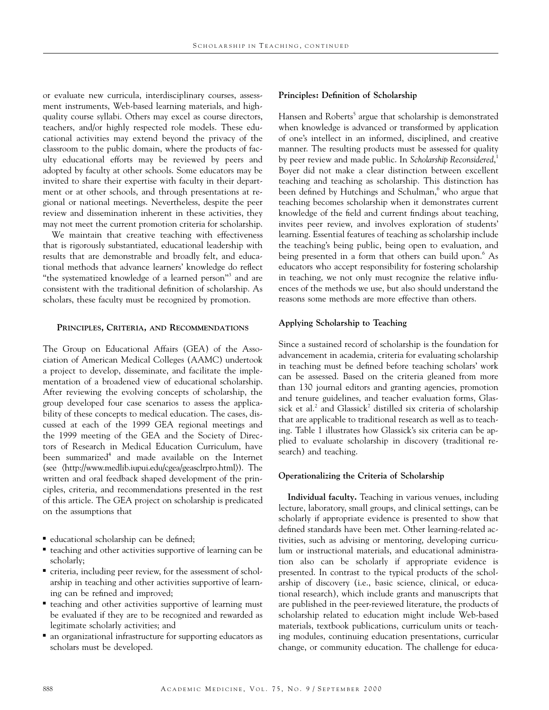or evaluate new curricula, interdisciplinary courses, assessment instruments, Web-based learning materials, and highquality course syllabi. Others may excel as course directors, teachers, and/or highly respected role models. These educational activities may extend beyond the privacy of the classroom to the public domain, where the products of faculty educational efforts may be reviewed by peers and adopted by faculty at other schools. Some educators may be invited to share their expertise with faculty in their department or at other schools, and through presentations at regional or national meetings. Nevertheless, despite the peer review and dissemination inherent in these activities, they may not meet the current promotion criteria for scholarship.

We maintain that creative teaching with effectiveness that is rigorously substantiated, educational leadership with results that are demonstrable and broadly felt, and educational methods that advance learners' knowledge do reflect "the systematized knowledge of a learned person"<sup>3</sup> and are consistent with the traditional definition of scholarship. As scholars, these faculty must be recognized by promotion.

#### **PRINCIPLES, CRITERIA, AND RECOMMENDATIONS**

The Group on Educational Affairs (GEA) of the Association of American Medical Colleges (AAMC) undertook a project to develop, disseminate, and facilitate the implementation of a broadened view of educational scholarship. After reviewing the evolving concepts of scholarship, the group developed four case scenarios to assess the applicability of these concepts to medical education. The cases, discussed at each of the 1999 GEA regional meetings and the 1999 meeting of the GEA and the Society of Directors of Research in Medical Education Curriculum, have been summarized<sup>4</sup> and made available on the Internet (see  $\langle$ http://www.medlib.iupui.edu/cgea/geasclrpro.html $\rangle$ ). The written and oral feedback shaped development of the principles, criteria, and recommendations presented in the rest of this article. The GEA project on scholarship is predicated on the assumptions that

- educational scholarship can be defined;
- <sup>n</sup> teaching and other activities supportive of learning can be scholarly;
- <sup>n</sup> criteria, including peer review, for the assessment of scholarship in teaching and other activities supportive of learning can be refined and improved;
- teaching and other activities supportive of learning must be evaluated if they are to be recognized and rewarded as legitimate scholarly activities; and
- <sup>n</sup> an organizational infrastructure for supporting educators as scholars must be developed.

# **Principles: Definition of Scholarship**

Hansen and Roberts<sup>5</sup> argue that scholarship is demonstrated when knowledge is advanced or transformed by application of one's intellect in an informed, disciplined, and creative manner. The resulting products must be assessed for quality by peer review and made public. In *Scholarship Reconsidered*, 1 Boyer did not make a clear distinction between excellent teaching and teaching as scholarship. This distinction has been defined by Hutchings and Schulman,<sup>6</sup> who argue that teaching becomes scholarship when it demonstrates current knowledge of the field and current findings about teaching, invites peer review, and involves exploration of students' learning. Essential features of teaching as scholarship include the teaching's being public, being open to evaluation, and being presented in a form that others can build upon.<sup>6</sup> As educators who accept responsibility for fostering scholarship in teaching, we not only must recognize the relative influences of the methods we use, but also should understand the reasons some methods are more effective than others.

# **Applying Scholarship to Teaching**

Since a sustained record of scholarship is the foundation for advancement in academia, criteria for evaluating scholarship in teaching must be defined before teaching scholars' work can be assessed. Based on the criteria gleaned from more than 130 journal editors and granting agencies, promotion and tenure guidelines, and teacher evaluation forms, Glassick et al.<sup>2</sup> and Glassick<sup>7</sup> distilled six criteria of scholarship that are applicable to traditional research as well as to teaching. Table 1 illustrates how Glassick's six criteria can be applied to evaluate scholarship in discovery (traditional research) and teaching.

# **Operationalizing the Criteria of Scholarship**

**Individual faculty.** Teaching in various venues, including lecture, laboratory, small groups, and clinical settings, can be scholarly if appropriate evidence is presented to show that defined standards have been met. Other learning-related activities, such as advising or mentoring, developing curriculum or instructional materials, and educational administration also can be scholarly if appropriate evidence is presented. In contrast to the typical products of the scholarship of discovery (i.e., basic science, clinical, or educational research), which include grants and manuscripts that are published in the peer-reviewed literature, the products of scholarship related to education might include Web-based materials, textbook publications, curriculum units or teaching modules, continuing education presentations, curricular change, or community education. The challenge for educa-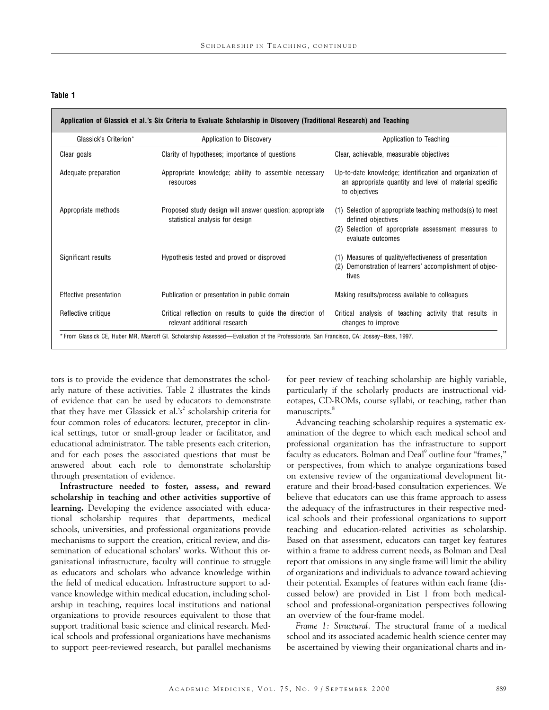#### **Table 1**

| Glassick's Criterion*  | Application to Discovery                                                                                                                                               | Application to Teaching                                                                                                                                    |  |
|------------------------|------------------------------------------------------------------------------------------------------------------------------------------------------------------------|------------------------------------------------------------------------------------------------------------------------------------------------------------|--|
| Clear goals            | Clarity of hypotheses; importance of questions                                                                                                                         | Clear, achievable, measurable objectives                                                                                                                   |  |
| Adequate preparation   | Appropriate knowledge; ability to assemble necessary<br>resources                                                                                                      | Up-to-date knowledge; identification and organization of<br>an appropriate quantity and level of material specific<br>to objectives                        |  |
| Appropriate methods    | Proposed study design will answer question; appropriate<br>statistical analysis for design                                                                             | (1) Selection of appropriate teaching methods(s) to meet<br>defined objectives<br>(2) Selection of appropriate assessment measures to<br>evaluate outcomes |  |
| Significant results    | Hypothesis tested and proved or disproved<br>(1) Measures of quality/effectiveness of presentation<br>(2) Demonstration of learners' accomplishment of objec-<br>tives |                                                                                                                                                            |  |
| Effective presentation | Publication or presentation in public domain                                                                                                                           | Making results/process available to colleagues                                                                                                             |  |
| Reflective critique    | Critical reflection on results to guide the direction of<br>relevant additional research                                                                               | Critical analysis of teaching activity that results in<br>changes to improve                                                                               |  |

tors is to provide the evidence that demonstrates the scholarly nature of these activities. Table 2 illustrates the kinds of evidence that can be used by educators to demonstrate that they have met Glassick et al.'s<sup>2</sup> scholarship criteria for four common roles of educators: lecturer, preceptor in clinical settings, tutor or small-group leader or facilitator, and educational administrator. The table presents each criterion, and for each poses the associated questions that must be answered about each role to demonstrate scholarship through presentation of evidence.

**Infrastructure needed to foster, assess, and reward scholarship in teaching and other activities supportive of learning.** Developing the evidence associated with educational scholarship requires that departments, medical schools, universities, and professional organizations provide mechanisms to support the creation, critical review, and dissemination of educational scholars' works. Without this organizational infrastructure, faculty will continue to struggle as educators and scholars who advance knowledge within the field of medical education. Infrastructure support to advance knowledge within medical education, including scholarship in teaching, requires local institutions and national organizations to provide resources equivalent to those that support traditional basic science and clinical research. Medical schools and professional organizations have mechanisms to support peer-reviewed research, but parallel mechanisms for peer review of teaching scholarship are highly variable, particularly if the scholarly products are instructional videotapes, CD-ROMs, course syllabi, or teaching, rather than manuscripts.<sup>8</sup>

Advancing teaching scholarship requires a systematic examination of the degree to which each medical school and professional organization has the infrastructure to support faculty as educators. Bolman and Deal<sup>9</sup> outline four "frames," or perspectives, from which to analyze organizations based on extensive review of the organizational development literature and their broad-based consultation experiences. We believe that educators can use this frame approach to assess the adequacy of the infrastructures in their respective medical schools and their professional organizations to support teaching and education-related activities as scholarship. Based on that assessment, educators can target key features within a frame to address current needs, as Bolman and Deal report that omissions in any single frame will limit the ability of organizations and individuals to advance toward achieving their potential. Examples of features within each frame (discussed below) are provided in List 1 from both medicalschool and professional-organization perspectives following an overview of the four-frame model.

*Frame 1: Structural.* The structural frame of a medical school and its associated academic health science center may be ascertained by viewing their organizational charts and in-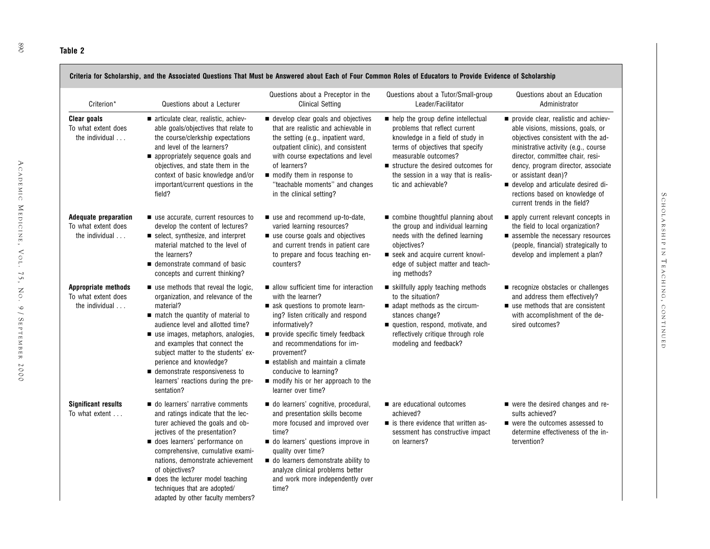| Criteria for Scholarship, and the Associated Questions That Must be Answered about Each of Four Common Roles of Educators to Provide Evidence of Scholarship |                                                                                                                                                                                                                                                                                                                                                                                                                |                                                                                                                                                                                                                                                                                                                                                                   |                                                                                                                                                                                                                                                                                            |                                                                                                                                                                                                                                                                                                                                                                   |
|--------------------------------------------------------------------------------------------------------------------------------------------------------------|----------------------------------------------------------------------------------------------------------------------------------------------------------------------------------------------------------------------------------------------------------------------------------------------------------------------------------------------------------------------------------------------------------------|-------------------------------------------------------------------------------------------------------------------------------------------------------------------------------------------------------------------------------------------------------------------------------------------------------------------------------------------------------------------|--------------------------------------------------------------------------------------------------------------------------------------------------------------------------------------------------------------------------------------------------------------------------------------------|-------------------------------------------------------------------------------------------------------------------------------------------------------------------------------------------------------------------------------------------------------------------------------------------------------------------------------------------------------------------|
| Criterion*                                                                                                                                                   | Questions about a Lecturer                                                                                                                                                                                                                                                                                                                                                                                     | Questions about a Preceptor in the<br><b>Clinical Setting</b>                                                                                                                                                                                                                                                                                                     | Questions about a Tutor/Small-group<br>Leader/Facilitator                                                                                                                                                                                                                                  | Questions about an Education<br>Administrator                                                                                                                                                                                                                                                                                                                     |
| <b>Clear goals</b><br>To what extent does<br>the individual $\ldots$                                                                                         | articulate clear, realistic, achiev-<br>able goals/objectives that relate to<br>the course/clerkship expectations<br>and level of the learners?<br>appropriately sequence goals and<br>objectives, and state them in the<br>context of basic knowledge and/or<br>important/current questions in the<br>field?                                                                                                  | e develop clear goals and objectives<br>that are realistic and achievable in<br>the setting (e.g., inpatient ward,<br>outpatient clinic), and consistent<br>with course expectations and level<br>of learners?<br>modify them in response to<br>"teachable moments" and changes<br>in the clinical setting?                                                       | lacktriangleright help the group define intellectual<br>problems that reflect current<br>knowledge in a field of study in<br>terms of objectives that specify<br>measurable outcomes?<br>structure the desired outcomes for<br>the session in a way that is realis-<br>tic and achievable? | provide clear, realistic and achiev-<br>able visions, missions, goals, or<br>objectives consistent with the ad-<br>ministrative activity (e.g., course<br>director, committee chair, resi-<br>dency, program director, associate<br>or assistant dean)?<br>e develop and articulate desired di-<br>rections based on knowledge of<br>current trends in the field? |
| <b>Adequate preparation</b><br>To what extent does<br>the individual $\ldots$                                                                                | ■ use accurate, current resources to<br>develop the content of lectures?<br>select, synthesize, and interpret<br>material matched to the level of<br>the learners?<br>■ demonstrate command of basic<br>concepts and current thinking?                                                                                                                                                                         | use and recommend up-to-date,<br>varied learning resources?<br>■ use course goals and objectives<br>and current trends in patient care<br>to prepare and focus teaching en-<br>counters?                                                                                                                                                                          | combine thoughtful planning about<br>the group and individual learning<br>needs with the defined learning<br>objectives?<br>seek and acquire current knowl-<br>edge of subject matter and teach-<br>ing methods?                                                                           | apply current relevant concepts in<br>the field to local organization?<br>assemble the necessary resources<br>(people, financial) strategically to<br>develop and implement a plan?                                                                                                                                                                               |
| <b>Appropriate methods</b><br>To what extent does<br>the individual $\ldots$                                                                                 | use methods that reveal the logic,<br>organization, and relevance of the<br>material?<br>$\blacksquare$ match the quantity of material to<br>audience level and allotted time?<br>use images, metaphors, analogies,<br>and examples that connect the<br>subject matter to the students' ex-<br>perience and knowledge?<br>e demonstrate responsiveness to<br>learners' reactions during the pre-<br>sentation? | allow sufficient time for interaction<br>with the learner?<br>ask questions to promote learn-<br>ing? listen critically and respond<br>informatively?<br>provide specific timely feedback<br>and recommendations for im-<br>provement?<br>■ establish and maintain a climate<br>conducive to learning?<br>modify his or her approach to the<br>learner over time? | skillfully apply teaching methods<br>to the situation?<br>adapt methods as the circum-<br>stances change?<br>question, respond, motivate, and<br>reflectively critique through role<br>modeling and feedback?                                                                              | recognize obstacles or challenges<br>and address them effectively?<br>use methods that are consistent<br>with accomplishment of the de-<br>sired outcomes?                                                                                                                                                                                                        |
| <b>Significant results</b><br>To what extent                                                                                                                 | do learners' narrative comments<br>and ratings indicate that the lec-<br>turer achieved the goals and ob-<br>jectives of the presentation?<br>does learners' performance on<br>comprehensive, cumulative exami-<br>nations, demonstrate achievement<br>of objectives?<br>does the lecturer model teaching<br>techniques that are adopted/<br>adapted by other faculty members?                                 | do learners' cognitive, procedural,<br>and presentation skills become<br>more focused and improved over<br>time?<br>do learners' questions improve in<br>quality over time?<br>do learners demonstrate ability to<br>analyze clinical problems better<br>and work more independently over<br>time?                                                                | are educational outcomes<br>achieved?<br>is there evidence that written as-<br>sessment has constructive impact<br>on learners?                                                                                                                                                            | ■ were the desired changes and re-<br>sults achieved?<br>■ were the outcomes assessed to<br>determine effectiveness of the in-<br>tervention?                                                                                                                                                                                                                     |

 $\omega$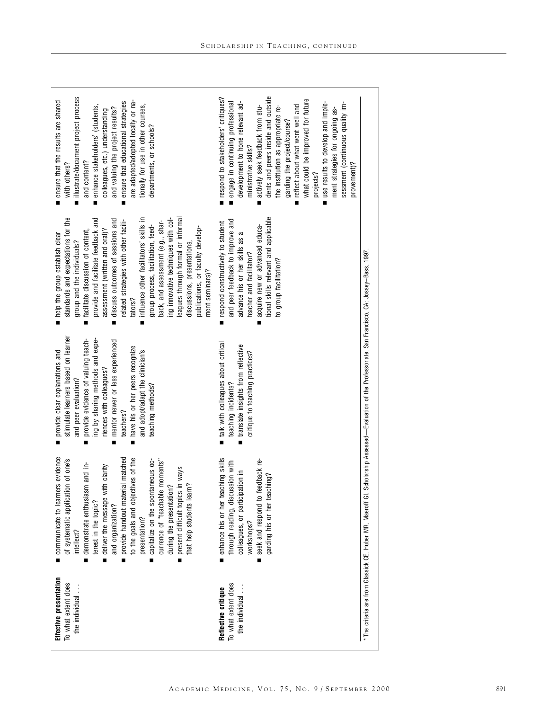| illustrate/document project process<br>are adapted/adopted locally or na-<br>ensure that the results are shared<br>ensure that educational strategies<br>enhance stakeholders' (students,<br>tionally for use in other courses,<br>and valuing the project results?<br>colleagues, etc.) understanding<br>departments, or schools?<br>and content?<br>with others?                                                                                                                                                                                                                                 | dents and peers inside and outside<br>respond to stakeholders' critiques?<br>what could be improved for future<br>development to hone relevant ad-<br>engage in continuing professional<br>use results to develop and imple-<br>sessment (continuous quality im-<br>actively seek feedback from stu-<br>reflect about what went well and<br>the institution as appropriate re-<br>ment strategies for ongoing as-<br>garding the project/course?<br>ministrative skills?<br>provement)?<br>projects? |                                                                                                                                                        |
|----------------------------------------------------------------------------------------------------------------------------------------------------------------------------------------------------------------------------------------------------------------------------------------------------------------------------------------------------------------------------------------------------------------------------------------------------------------------------------------------------------------------------------------------------------------------------------------------------|------------------------------------------------------------------------------------------------------------------------------------------------------------------------------------------------------------------------------------------------------------------------------------------------------------------------------------------------------------------------------------------------------------------------------------------------------------------------------------------------------|--------------------------------------------------------------------------------------------------------------------------------------------------------|
| standards and expectations for the<br>provide and facilitate feedback and<br>influence other facilitators' skills in<br>ing innovative techniques with col-<br>leagues through formal or informal<br>discuss outcomes of sessions and<br>related strategies with other facili-<br>back, and assessment (e.g., shar-<br>group process, facilitation, feed-<br>publications, or faculty develop-<br>assessment (written and oral)?<br>facilitate discussion of content,<br>nelp the group establish clear<br>group and the individuals?<br>discussions, presentations,<br>ment seminars)?<br>tators? | tional skills relevant and applicable<br>and peer feedback to improve and<br>respond constructively to student<br>acquire new or advanced educa-<br>advance his or her skills as a<br>teacher and facilitator?<br>to group facilitation?<br>$\blacksquare$                                                                                                                                                                                                                                           |                                                                                                                                                        |
| stimulate learners based on learner<br>provide evidence of valuing teach-<br>ing by sharing methods and expe-<br>mentor newer or less experienced<br>have his or her peers recognize<br>provide clear explanations and<br>and adopt/adapt the clinician's<br>riences with colleagues?<br>and peer evaluation?<br>teaching methods?<br>teachers?<br>$\blacksquare$<br>$\blacksquare$                                                                                                                                                                                                                | talk with colleagues about critical<br>translate insights from reflective<br>critique to teaching practices?<br>teaching incidents?<br>$\blacksquare$                                                                                                                                                                                                                                                                                                                                                |                                                                                                                                                        |
| evidence<br>provide handout material matched<br>to the goals and objectives of the<br>of one's<br>moments"<br>capitalize on the spontaneous oc-<br>and in-<br>deliver the message with clarity<br>present difficult topics in ways<br>communicate to learners<br>of systematic application<br>that help students learn?<br>emonstrate enthusiasm<br>during the presentation?<br>currence of "teachable i<br>terest in the topic?<br>and organization?<br>presentation?<br>intellect?<br>$\blacksquare$                                                                                             | ■ enhance his or her teaching skills<br>seek and respond to feedback re-<br>through reading, discussion with<br>colleagues, or participation in<br>garding his or her teaching?<br>workshops?<br>$\blacksquare$                                                                                                                                                                                                                                                                                      | * The criteria are from Glassick CE, Huber MR, Maeroff Gl. Scholarship Assessed—Evaluation of the Professoriate. San Francisco, CA: Jossey-Bass, 1997. |
| Effective presentation<br>To what extent does<br>the individual                                                                                                                                                                                                                                                                                                                                                                                                                                                                                                                                    | To what extent does<br>Reflective critique<br>the individual.                                                                                                                                                                                                                                                                                                                                                                                                                                        |                                                                                                                                                        |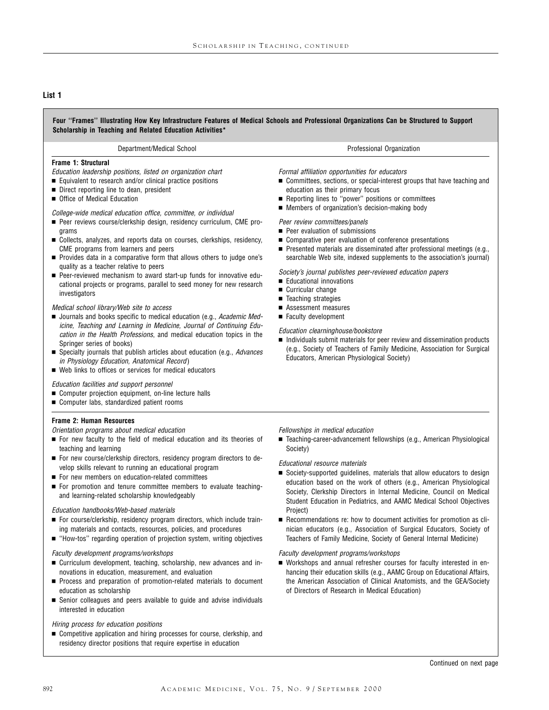# **List 1**

**Four ''Frames'' Illustrating How Key Infrastructure Features of Medical Schools and Professional Organizations Can be Structured to Support Scholarship in Teaching and Related Education Activities\***

| Department/Medical School |
|---------------------------|
|---------------------------|

Professional Organization

### **Frame 1: Structural**

Education leadership positions, listed on organization chart

- Equivalent to research and/or clinical practice positions
- $\blacksquare$  Direct reporting line to dean, president
- Office of Medical Education

#### College-wide medical education office, committee, or individual

- n Peer reviews course/clerkship design, residency curriculum, CME programs
- n Collects, analyzes, and reports data on courses, clerkships, residency, CME programs from learners and peers
- Provides data in a comparative form that allows others to judge one's quality as a teacher relative to peers
- Peer-reviewed mechanism to award start-up funds for innovative educational projects or programs, parallel to seed money for new research investigators

#### Medical school library/Web site to access

- Journals and books specific to medical education (e.g., Academic Medicine, Teaching and Learning in Medicine, Journal of Continuing Education in the Health Professions, and medical education topics in the Springer series of books)
- $\blacksquare$  Specialty journals that publish articles about education (e.g., Advances in Physiology Education, Anatomical Record)
- Web links to offices or services for medical educators

Education facilities and support personnel

- Computer projection equipment, on-line lecture halls
- Computer labs, standardized patient rooms

#### **Frame 2: Human Resources**

Orientation programs about medical education

- n For new faculty to the field of medical education and its theories of teaching and learning
- For new course/clerkship directors, residency program directors to develop skills relevant to running an educational program
- For new members on education-related committees
- For promotion and tenure committee members to evaluate teachingand learning-related scholarship knowledgeably

#### Education handbooks/Web-based materials

- For course/clerkship, residency program directors, which include training materials and contacts, resources, policies, and procedures
- "How-tos" regarding operation of projection system, writing objectives

#### Faculty development programs/workshops

- n Curriculum development, teaching, scholarship, new advances and innovations in education, measurement, and evaluation
- n Process and preparation of promotion-related materials to document education as scholarship
- n Senior colleagues and peers available to guide and advise individuals interested in education

#### Hiring process for education positions

■ Competitive application and hiring processes for course, clerkship, and residency director positions that require expertise in education

- Formal affiliation opportunities for educators ■ Committees, sections, or special-interest groups that have teaching and education as their primary focus
- Reporting lines to "power" positions or committees
- Members of organization's decision-making body

#### Peer review committees/panels

- **Peer evaluation of submissions**
- Comparative peer evaluation of conference presentations
- $\blacksquare$  Presented materials are disseminated after professional meetings (e.g., searchable Web site, indexed supplements to the association's journal)

Society's journal publishes peer-reviewed education papers

- Educational innovations
- Curricular change
- $\blacksquare$  Teaching strategies
- Assessment measures
- Faculty development

## Education clearninghouse/bookstore

 $\blacksquare$  Individuals submit materials for peer review and dissemination products (e.g., Society of Teachers of Family Medicine, Association for Surgical Educators, American Physiological Society)

#### Fellowships in medical education

■ Teaching-career-advancement fellowships (e.g., American Physiological Society)

#### Educational resource materials

- Society-supported guidelines, materials that allow educators to design education based on the work of others (e.g., American Physiological Society, Clerkship Directors in Internal Medicine, Council on Medical Student Education in Pediatrics, and AAMC Medical School Objectives Project)
- Recommendations re: how to document activities for promotion as clinician educators (e.g., Association of Surgical Educators, Society of Teachers of Family Medicine, Society of General Internal Medicine)

#### Faculty development programs/workshops

n Workshops and annual refresher courses for faculty interested in enhancing their education skills (e.g., AAMC Group on Educational Affairs, the American Association of Clinical Anatomists, and the GEA/Society of Directors of Research in Medical Education)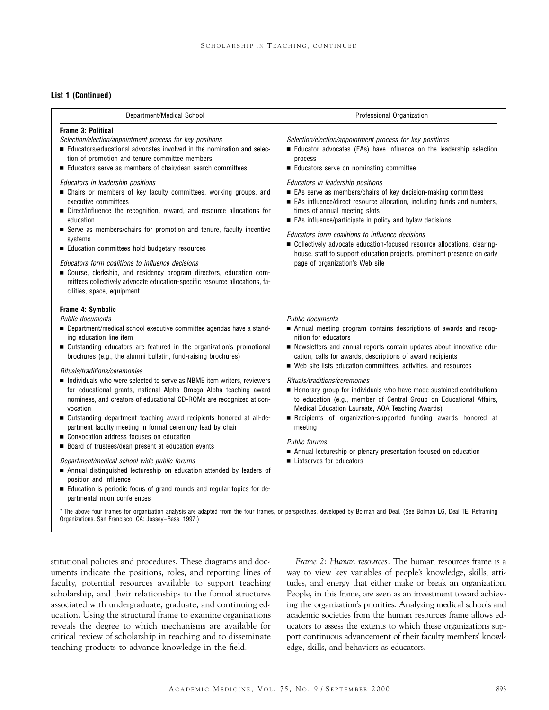# **List 1 (Continued)**

| Department/Medical School                                                                                                                                                                                                                                                                                                                                                                                                                            | Professional Organization                                                                                                                                                                                                                                                                                                               |  |
|------------------------------------------------------------------------------------------------------------------------------------------------------------------------------------------------------------------------------------------------------------------------------------------------------------------------------------------------------------------------------------------------------------------------------------------------------|-----------------------------------------------------------------------------------------------------------------------------------------------------------------------------------------------------------------------------------------------------------------------------------------------------------------------------------------|--|
| <b>Frame 3: Political</b><br>Selection/election/appointment process for key positions<br>Educators/educational advocates involved in the nomination and selec-<br>tion of promotion and tenure committee members<br>■ Educators serve as members of chair/dean search committees                                                                                                                                                                     | Selection/election/appointment process for key positions<br>Educator advocates (EAs) have influence on the leadership selection<br>process<br>■ Educators serve on nominating committee                                                                                                                                                 |  |
| Educators in leadership positions<br>■ Chairs or members of key faculty committees, working groups, and<br>executive committees<br>Direct/influence the recognition, reward, and resource allocations for<br>education                                                                                                                                                                                                                               | Educators in leadership positions<br>■ EAs serve as members/chairs of key decision-making committees<br>■ EAs influence/direct resource allocation, including funds and numbers,<br>times of annual meeting slots<br>EAs influence/participate in policy and bylaw decisions                                                            |  |
| ■ Serve as members/chairs for promotion and tenure, faculty incentive<br>systems<br>■ Education committees hold budgetary resources                                                                                                                                                                                                                                                                                                                  | Educators form coalitions to influence decisions<br>■ Collectively advocate education-focused resource allocations, clearing-<br>house, staff to support education projects, prominent presence on early                                                                                                                                |  |
| Educators form coalitions to influence decisions<br>Course, clerkship, and residency program directors, education com-<br>mittees collectively advocate education-specific resource allocations, fa-<br>cilities, space, equipment                                                                                                                                                                                                                   | page of organization's Web site                                                                                                                                                                                                                                                                                                         |  |
| Frame 4: Symbolic<br><b>Public documents</b><br>■ Department/medical school executive committee agendas have a stand-<br>ing education line item<br>■ Outstanding educators are featured in the organization's promotional<br>brochures (e.g., the alumni bulletin, fund-raising brochures)                                                                                                                                                          | <b>Public documents</b><br>Annual meeting program contains descriptions of awards and recog-<br>nition for educators<br>■ Newsletters and annual reports contain updates about innovative edu-<br>cation, calls for awards, descriptions of award recipients<br>■ Web site lists education committees, activities, and resources        |  |
| Rituals/traditions/ceremonies<br>Individuals who were selected to serve as NBME item writers, reviewers<br>for educational grants, national Alpha Omega Alpha teaching award<br>nominees, and creators of educational CD-ROMs are recognized at con-<br>vocation<br>■ Outstanding department teaching award recipients honored at all-de-<br>partment faculty meeting in formal ceremony lead by chair<br>■ Convocation address focuses on education | Rituals/traditions/ceremonies<br>■ Honorary group for individuals who have made sustained contributions<br>to education (e.g., member of Central Group on Educational Affairs,<br>Medical Education Laureate, AOA Teaching Awards)<br>Recipients of organization-supported funding awards honored at<br>meeting<br><b>Public forums</b> |  |
| ■ Board of trustees/dean present at education events<br>Department/medical-school-wide public forums<br>Annual distinguished lectureship on education attended by leaders of<br>position and influence<br>Education is periodic focus of grand rounds and regular topics for de-<br>partmental noon conferences                                                                                                                                      | Annual lectureship or plenary presentation focused on education<br>■ Listserves for educators                                                                                                                                                                                                                                           |  |

stitutional policies and procedures. These diagrams and documents indicate the positions, roles, and reporting lines of faculty, potential resources available to support teaching scholarship, and their relationships to the formal structures associated with undergraduate, graduate, and continuing education. Using the structural frame to examine organizations reveals the degree to which mechanisms are available for critical review of scholarship in teaching and to disseminate teaching products to advance knowledge in the field.

*Frame 2: Human resources.* The human resources frame is a way to view key variables of people's knowledge, skills, attitudes, and energy that either make or break an organization. People, in this frame, are seen as an investment toward achieving the organization's priorities. Analyzing medical schools and academic societies from the human resources frame allows educators to assess the extents to which these organizations support continuous advancement of their faculty members' knowledge, skills, and behaviors as educators.